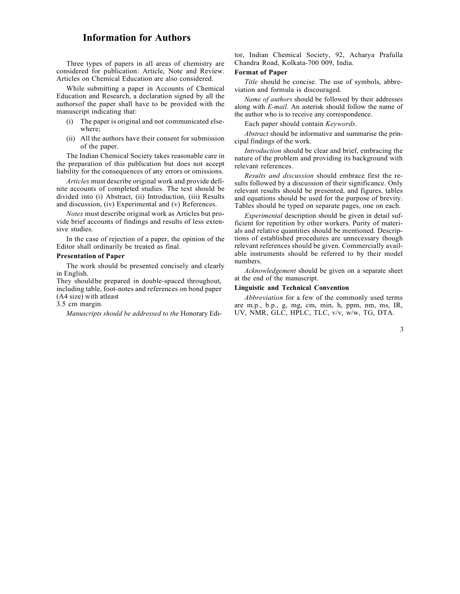## Information for Authors

Three types of papers in all areas of chemistry are considered for publication: Article, Note and Review. Articles on Chemical Education are also considered.

While submitting a paper in Accounts of Chemical Education and Research, a declaration signed by all the authors of the paper shall have to be provided with the manuscript indicating that:

- (i) The paper is original and not communicated elsewhere;
- (ii) All the authors have their consent for submission of the paper.

The Indian Chemical Society takes reasonable care in the preparation of this publication but does not accept liability for the consequences of any errors or omissions.

Articles must describe original work and provide definite accounts of completed studies. The text should be divided into (i) Abstract, (ii) Introduction, (iii) Results and discussion, (iv) Experimental and (v) References.

Notes must describe original work as Articles but provide brief accounts of findings and results of less extensive studies.

In the case of rejection of a paper, the opinion of the Editor shall ordinarily be treated as final.

## Presentation of Paper

The work should be presented concisely and clearly in English.

They should be prepared in double-spaced throughout, including table, foot- notes and references on bond paper (A4 size) with atleast

3.5 cm margin.

Manuscripts should be addressed to the Honorary Edi-

tor, Indian Chemical Society, 92, Acharya Prafulla Chandra Road, Kolkata-700 009, India.

## Format of Paper

Title should be concise. The use of symbols, abbreviation and formula is discouraged.

Name of authors should be followed by their addresses along with E-mail. An asterisk should follow the name of the author who is to receive any correspondence.

Each paper should contain Keywords.

Abstract should be informative and summarise the principal findings of the work.

Introduction should be clear and brief, embracing the nature of the problem and providing its background with relevant references.

Results and discussion should embrace first the results followed by a discussion of their significance. Only relevant results should be presented, and figures, tables and equations should be used for the purpose of brevity. Tables should be typed on separate pages, one on each.

Experimental description should be given in detail sufficient for repetition by other workers. Purity of materials and relative quantities should be mentioned. Descriptions of established procedures are unnecessary though relevant references should be given. Commercially available instruments should be referred to by their model numbers.

Acknowledgement should be given on a separate sheet at the end of the manuscript.

## Linguistic and Technical Convention

Abbreviation for a few of the commonly used terms are m.p., b.p., g, mg, cm, min, h, ppm, nm, ms, IR, UV, NMR, GLC, HPLC, TLC, v/v, w/w, TG, DTA.